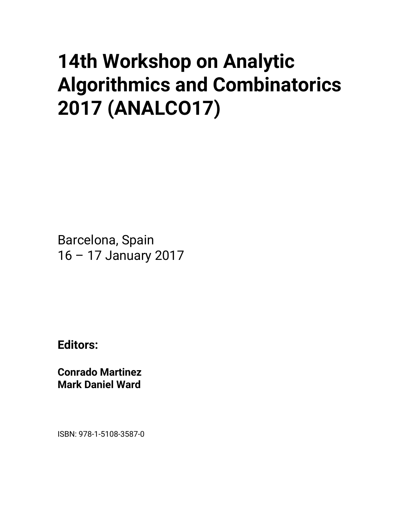## **14th Workshop on Analytic Algorithmics and Combinatorics 2017 (ANALCO17)**

Barcelona, Spain 16 – 17 January 2017

**Editors:** 

**Conrado Martinez Mark Daniel Ward** 

ISBN: 978-1-5108-3587-0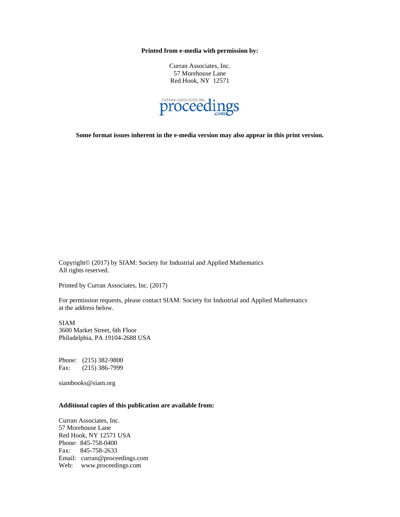**Printed from e-media with permission by:** 

Curran Associates, Inc. 57 Morehouse Lane Red Hook, NY 12571



**Some format issues inherent in the e-media version may also appear in this print version.** 

Copyright© (2017) by SIAM: Society for Industrial and Applied Mathematics All rights reserved.

Printed by Curran Associates, Inc. (2017)

For permission requests, please contact SIAM: Society for Industrial and Applied Mathematics at the address below.

SIAM 3600 Market Street, 6th Floor Philadelphia, PA 19104-2688 USA

Phone: (215) 382-9800 Fax: (215) 386-7999

siambooks@siam.org

## **Additional copies of this publication are available from:**

Curran Associates, Inc. 57 Morehouse Lane Red Hook, NY 12571 USA Phone: 845-758-0400 Fax: 845-758-2633 Email: curran@proceedings.com Web: www.proceedings.com